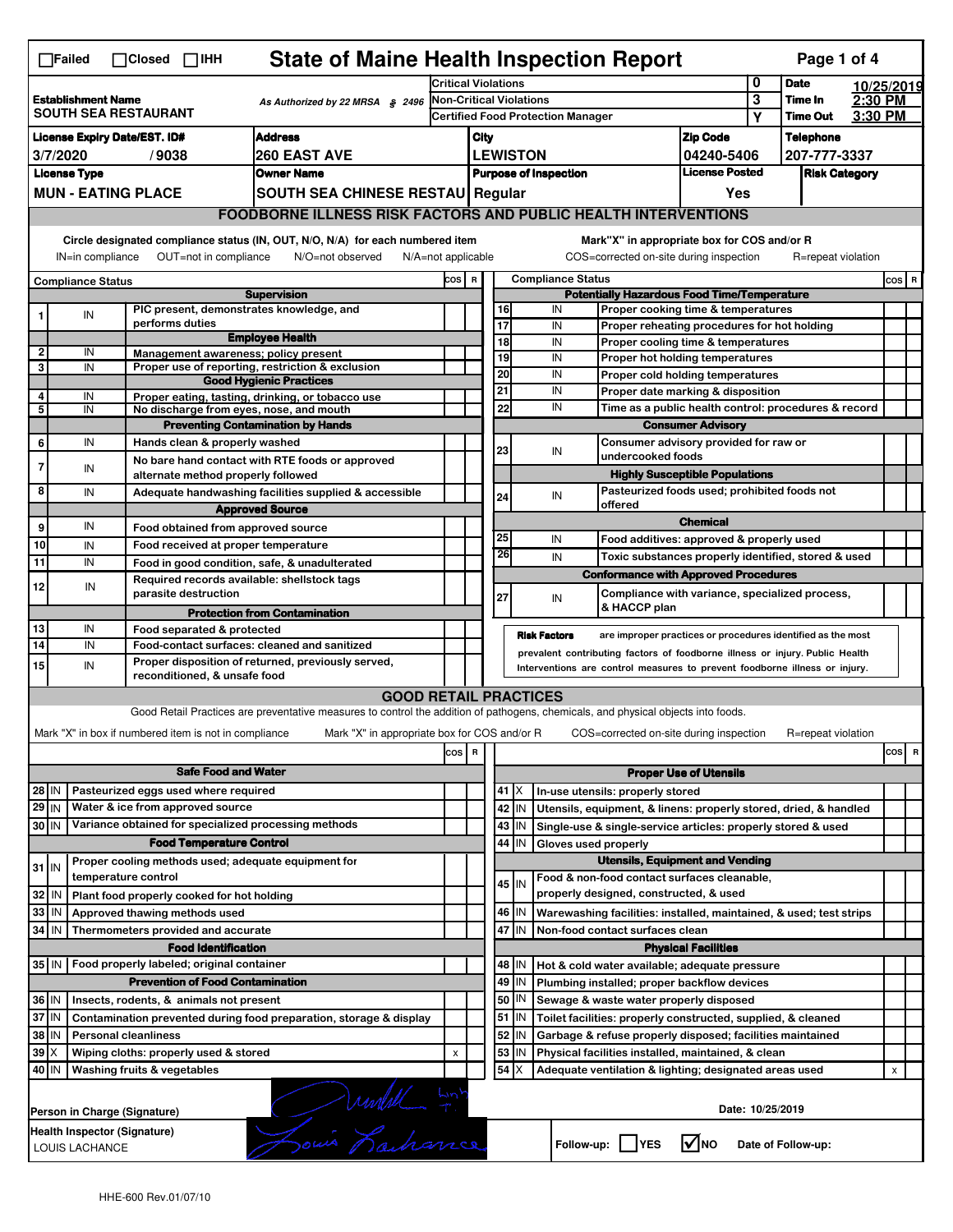| <b>State of Maine Health Inspection Report</b><br>Page 1 of 4<br>$\Box$ Failed<br>$\Box$ Closed $\Box$ IHH                                                                                                                                                                            |                                                                                                                                                                |                     |                                                       |                                                                                                                                                                   |                                                                                                                                             |                               |                                                          |                                                    |                                                                                   |                                       |                 |                      |       |            |  |
|---------------------------------------------------------------------------------------------------------------------------------------------------------------------------------------------------------------------------------------------------------------------------------------|----------------------------------------------------------------------------------------------------------------------------------------------------------------|---------------------|-------------------------------------------------------|-------------------------------------------------------------------------------------------------------------------------------------------------------------------|---------------------------------------------------------------------------------------------------------------------------------------------|-------------------------------|----------------------------------------------------------|----------------------------------------------------|-----------------------------------------------------------------------------------|---------------------------------------|-----------------|----------------------|-------|------------|--|
|                                                                                                                                                                                                                                                                                       |                                                                                                                                                                |                     |                                                       |                                                                                                                                                                   | <b>Critical Violations</b>                                                                                                                  |                               |                                                          |                                                    |                                                                                   |                                       | 0               | <b>Date</b>          |       | 10/25/2019 |  |
| <b>Establishment Name</b><br>As Authorized by 22 MRSA § 2496<br><b>SOUTH SEA RESTAURANT</b>                                                                                                                                                                                           |                                                                                                                                                                |                     |                                                       |                                                                                                                                                                   | <b>Non-Critical Violations</b>                                                                                                              |                               |                                                          |                                                    |                                                                                   | 3                                     | Time In         | 2:30 PM              |       |            |  |
|                                                                                                                                                                                                                                                                                       |                                                                                                                                                                |                     |                                                       |                                                                                                                                                                   | Certified Food Protection Manager                                                                                                           |                               |                                                          |                                                    |                                                                                   | Υ                                     | <b>Time Out</b> | 3:30 PM              |       |            |  |
| <b>Address</b><br><b>License Expiry Date/EST. ID#</b>                                                                                                                                                                                                                                 |                                                                                                                                                                |                     |                                                       |                                                                                                                                                                   | City                                                                                                                                        |                               |                                                          | <b>Zip Code</b>                                    |                                                                                   | <b>Telephone</b>                      |                 |                      |       |            |  |
| <b>260 EAST AVE</b><br>3/7/2020<br>/9038                                                                                                                                                                                                                                              |                                                                                                                                                                |                     |                                                       |                                                                                                                                                                   |                                                                                                                                             | <b>LEWISTON</b><br>04240-5406 |                                                          |                                                    | 207-777-3337                                                                      |                                       |                 |                      |       |            |  |
|                                                                                                                                                                                                                                                                                       | <b>License Type</b>                                                                                                                                            |                     |                                                       | <b>Owner Name</b>                                                                                                                                                 |                                                                                                                                             |                               |                                                          |                                                    | <b>Purpose of Inspection</b>                                                      | <b>License Posted</b>                 |                 | <b>Risk Category</b> |       |            |  |
|                                                                                                                                                                                                                                                                                       | <b>MUN - EATING PLACE</b><br>SOUTH SEA CHINESE RESTAU Regular                                                                                                  |                     |                                                       |                                                                                                                                                                   |                                                                                                                                             |                               |                                                          |                                                    |                                                                                   | Yes                                   |                 |                      |       |            |  |
|                                                                                                                                                                                                                                                                                       |                                                                                                                                                                |                     |                                                       | <b>FOODBORNE ILLNESS RISK FACTORS AND PUBLIC HEALTH INTERVENTIONS</b>                                                                                             |                                                                                                                                             |                               |                                                          |                                                    |                                                                                   |                                       |                 |                      |       |            |  |
| Circle designated compliance status (IN, OUT, N/O, N/A) for each numbered item<br>Mark"X" in appropriate box for COS and/or R<br>OUT=not in compliance<br>COS=corrected on-site during inspection<br>IN=in compliance<br>N/O=not observed<br>N/A=not applicable<br>R=repeat violation |                                                                                                                                                                |                     |                                                       |                                                                                                                                                                   |                                                                                                                                             |                               |                                                          |                                                    |                                                                                   |                                       |                 |                      |       |            |  |
| <b>Compliance Status</b>                                                                                                                                                                                                                                                              |                                                                                                                                                                |                     |                                                       |                                                                                                                                                                   | <b>Compliance Status</b><br>COS R                                                                                                           |                               |                                                          |                                                    |                                                                                   |                                       |                 |                      | COS R |            |  |
|                                                                                                                                                                                                                                                                                       |                                                                                                                                                                |                     |                                                       | <b>Supervision</b>                                                                                                                                                |                                                                                                                                             |                               | <b>Potentially Hazardous Food Time/Temperature</b>       |                                                    |                                                                                   |                                       |                 |                      |       |            |  |
| 1                                                                                                                                                                                                                                                                                     | ${\sf IN}$                                                                                                                                                     |                     |                                                       | PIC present, demonstrates knowledge, and                                                                                                                          |                                                                                                                                             |                               |                                                          | 16                                                 | IN<br>Proper cooking time & temperatures                                          |                                       |                 |                      |       |            |  |
|                                                                                                                                                                                                                                                                                       |                                                                                                                                                                |                     | performs duties                                       | <b>Employee Health</b>                                                                                                                                            |                                                                                                                                             |                               | 18                                                       | 17                                                 | IN<br>Proper reheating procedures for hot holding                                 |                                       |                 |                      |       |            |  |
| $\overline{2}$                                                                                                                                                                                                                                                                        | IN                                                                                                                                                             |                     | Management awareness; policy present                  |                                                                                                                                                                   |                                                                                                                                             |                               |                                                          | 19                                                 | IN<br>Proper cooling time & temperatures<br>IN<br>Proper hot holding temperatures |                                       |                 |                      |       |            |  |
| 3                                                                                                                                                                                                                                                                                     | IN                                                                                                                                                             |                     |                                                       | Proper use of reporting, restriction & exclusion                                                                                                                  |                                                                                                                                             |                               | 20                                                       |                                                    | IN<br>Proper cold holding temperatures                                            |                                       |                 |                      |       |            |  |
|                                                                                                                                                                                                                                                                                       |                                                                                                                                                                |                     |                                                       | <b>Good Hygienic Practices</b>                                                                                                                                    |                                                                                                                                             |                               | 21                                                       |                                                    | IN<br>Proper date marking & disposition                                           |                                       |                 |                      |       |            |  |
| 4<br>5                                                                                                                                                                                                                                                                                | IN<br>IN                                                                                                                                                       |                     |                                                       | Proper eating, tasting, drinking, or tobacco use<br>No discharge from eyes, nose, and mouth                                                                       |                                                                                                                                             |                               |                                                          | 22                                                 | IN<br>Time as a public health control: procedures & record                        |                                       |                 |                      |       |            |  |
|                                                                                                                                                                                                                                                                                       |                                                                                                                                                                |                     |                                                       | <b>Preventing Contamination by Hands</b>                                                                                                                          |                                                                                                                                             |                               |                                                          |                                                    |                                                                                   | <b>Consumer Advisory</b>              |                 |                      |       |            |  |
| 6                                                                                                                                                                                                                                                                                     | IN                                                                                                                                                             |                     | Hands clean & properly washed                         |                                                                                                                                                                   |                                                                                                                                             |                               |                                                          |                                                    |                                                                                   | Consumer advisory provided for raw or |                 |                      |       |            |  |
|                                                                                                                                                                                                                                                                                       |                                                                                                                                                                |                     |                                                       | No bare hand contact with RTE foods or approved                                                                                                                   |                                                                                                                                             |                               |                                                          | 23                                                 | IN<br>undercooked foods                                                           |                                       |                 |                      |       |            |  |
| $\overline{7}$                                                                                                                                                                                                                                                                        | IN                                                                                                                                                             |                     | alternate method properly followed                    |                                                                                                                                                                   |                                                                                                                                             |                               |                                                          |                                                    | <b>Highly Susceptible Populations</b>                                             |                                       |                 |                      |       |            |  |
| 8                                                                                                                                                                                                                                                                                     | IN                                                                                                                                                             |                     |                                                       | Adequate handwashing facilities supplied & accessible                                                                                                             |                                                                                                                                             |                               |                                                          | 24                                                 | Pasteurized foods used; prohibited foods not<br>IN                                |                                       |                 |                      |       |            |  |
|                                                                                                                                                                                                                                                                                       |                                                                                                                                                                |                     |                                                       | <b>Approved Source</b>                                                                                                                                            |                                                                                                                                             |                               |                                                          |                                                    | offered                                                                           |                                       |                 |                      |       |            |  |
| 9                                                                                                                                                                                                                                                                                     | IN                                                                                                                                                             |                     | Food obtained from approved source                    |                                                                                                                                                                   |                                                                                                                                             |                               |                                                          |                                                    |                                                                                   | <b>Chemical</b>                       |                 |                      |       |            |  |
| 10                                                                                                                                                                                                                                                                                    | IN                                                                                                                                                             |                     | Food received at proper temperature                   |                                                                                                                                                                   |                                                                                                                                             |                               | 25                                                       |                                                    | IN<br>Food additives: approved & properly used                                    |                                       |                 |                      |       |            |  |
| 11                                                                                                                                                                                                                                                                                    | IN                                                                                                                                                             |                     |                                                       | Food in good condition, safe, & unadulterated                                                                                                                     |                                                                                                                                             |                               | 26                                                       |                                                    | IN<br>Toxic substances properly identified, stored & used                         |                                       |                 |                      |       |            |  |
|                                                                                                                                                                                                                                                                                       |                                                                                                                                                                |                     |                                                       | Required records available: shellstock tags                                                                                                                       |                                                                                                                                             |                               |                                                          |                                                    | <b>Conformance with Approved Procedures</b>                                       |                                       |                 |                      |       |            |  |
| 12                                                                                                                                                                                                                                                                                    | IN                                                                                                                                                             |                     | parasite destruction                                  |                                                                                                                                                                   |                                                                                                                                             |                               | 27                                                       |                                                    | Compliance with variance, specialized process,<br>IN                              |                                       |                 |                      |       |            |  |
|                                                                                                                                                                                                                                                                                       |                                                                                                                                                                |                     |                                                       | <b>Protection from Contamination</b>                                                                                                                              |                                                                                                                                             |                               |                                                          |                                                    | & HACCP plan                                                                      |                                       |                 |                      |       |            |  |
| 13                                                                                                                                                                                                                                                                                    | IN                                                                                                                                                             |                     | Food separated & protected                            |                                                                                                                                                                   |                                                                                                                                             |                               |                                                          |                                                    | <b>Risk Factors</b>                                                               |                                       |                 |                      |       |            |  |
| 14                                                                                                                                                                                                                                                                                    | IN                                                                                                                                                             |                     |                                                       | Food-contact surfaces: cleaned and sanitized                                                                                                                      | are improper practices or procedures identified as the most<br>prevalent contributing factors of foodborne illness or injury. Public Health |                               |                                                          |                                                    |                                                                                   |                                       |                 |                      |       |            |  |
| 15                                                                                                                                                                                                                                                                                    | IN                                                                                                                                                             |                     | reconditioned, & unsafe food                          | Proper disposition of returned, previously served,                                                                                                                | Interventions are control measures to prevent foodborne illness or injury.                                                                  |                               |                                                          |                                                    |                                                                                   |                                       |                 |                      |       |            |  |
|                                                                                                                                                                                                                                                                                       |                                                                                                                                                                |                     |                                                       |                                                                                                                                                                   |                                                                                                                                             |                               |                                                          |                                                    |                                                                                   |                                       |                 |                      |       |            |  |
|                                                                                                                                                                                                                                                                                       |                                                                                                                                                                |                     |                                                       | <b>GOOD RETAIL PRACTICES</b><br>Good Retail Practices are preventative measures to control the addition of pathogens, chemicals, and physical objects into foods. |                                                                                                                                             |                               |                                                          |                                                    |                                                                                   |                                       |                 |                      |       |            |  |
|                                                                                                                                                                                                                                                                                       |                                                                                                                                                                |                     |                                                       |                                                                                                                                                                   |                                                                                                                                             |                               |                                                          |                                                    |                                                                                   |                                       |                 |                      |       |            |  |
|                                                                                                                                                                                                                                                                                       |                                                                                                                                                                |                     | Mark "X" in box if numbered item is not in compliance | Mark "X" in appropriate box for COS and/or R                                                                                                                      |                                                                                                                                             |                               |                                                          |                                                    | COS=corrected on-site during inspection                                           |                                       |                 | R=repeat violation   |       |            |  |
|                                                                                                                                                                                                                                                                                       |                                                                                                                                                                |                     |                                                       |                                                                                                                                                                   | cos                                                                                                                                         | $\overline{\mathbf{R}}$       |                                                          |                                                    |                                                                                   |                                       |                 |                      |       | cos<br>R   |  |
|                                                                                                                                                                                                                                                                                       |                                                                                                                                                                |                     | <b>Safe Food and Water</b>                            |                                                                                                                                                                   |                                                                                                                                             |                               | <b>Proper Use of Utensils</b>                            |                                                    |                                                                                   |                                       |                 |                      |       |            |  |
| 28 IN                                                                                                                                                                                                                                                                                 |                                                                                                                                                                |                     | Pasteurized eggs used where required                  |                                                                                                                                                                   |                                                                                                                                             |                               |                                                          | 41   X                                             | In-use utensils: properly stored                                                  |                                       |                 |                      |       |            |  |
| $29$ IN                                                                                                                                                                                                                                                                               |                                                                                                                                                                |                     | Water & ice from approved source                      |                                                                                                                                                                   |                                                                                                                                             |                               |                                                          | 42 IN                                              | Utensils, equipment, & linens: properly stored, dried, & handled                  |                                       |                 |                      |       |            |  |
| 30 IN                                                                                                                                                                                                                                                                                 |                                                                                                                                                                |                     |                                                       | Variance obtained for specialized processing methods                                                                                                              |                                                                                                                                             |                               |                                                          | 43   IN                                            | Single-use & single-service articles: properly stored & used                      |                                       |                 |                      |       |            |  |
|                                                                                                                                                                                                                                                                                       |                                                                                                                                                                |                     | <b>Food Temperature Control</b>                       |                                                                                                                                                                   |                                                                                                                                             |                               |                                                          | 44<br>IN                                           | Gloves used properly                                                              |                                       |                 |                      |       |            |  |
| $31$ IN                                                                                                                                                                                                                                                                               |                                                                                                                                                                |                     |                                                       | Proper cooling methods used; adequate equipment for                                                                                                               |                                                                                                                                             |                               |                                                          |                                                    |                                                                                   |                                       |                 |                      |       |            |  |
|                                                                                                                                                                                                                                                                                       |                                                                                                                                                                | temperature control |                                                       |                                                                                                                                                                   |                                                                                                                                             |                               |                                                          | $45$ IN                                            | Food & non-food contact surfaces cleanable,                                       |                                       |                 |                      |       |            |  |
| 32                                                                                                                                                                                                                                                                                    | IN                                                                                                                                                             |                     | Plant food properly cooked for hot holding            |                                                                                                                                                                   |                                                                                                                                             |                               |                                                          |                                                    | properly designed, constructed, & used                                            |                                       |                 |                      |       |            |  |
| 33                                                                                                                                                                                                                                                                                    | IN                                                                                                                                                             |                     | Approved thawing methods used                         |                                                                                                                                                                   |                                                                                                                                             |                               |                                                          | 46 IN                                              | Warewashing facilities: installed, maintained, & used; test strips                |                                       |                 |                      |       |            |  |
| 34                                                                                                                                                                                                                                                                                    | l IN                                                                                                                                                           |                     | Thermometers provided and accurate                    |                                                                                                                                                                   |                                                                                                                                             |                               | 47<br>İΙN<br>Non-food contact surfaces clean             |                                                    |                                                                                   |                                       |                 |                      |       |            |  |
|                                                                                                                                                                                                                                                                                       |                                                                                                                                                                |                     | <b>Food Identification</b>                            |                                                                                                                                                                   |                                                                                                                                             |                               |                                                          |                                                    |                                                                                   | <b>Physical Facilities</b>            |                 |                      |       |            |  |
|                                                                                                                                                                                                                                                                                       | 35 IN   Food properly labeled; original container                                                                                                              |                     |                                                       |                                                                                                                                                                   |                                                                                                                                             |                               | 48   IN<br>Hot & cold water available; adequate pressure |                                                    |                                                                                   |                                       |                 |                      |       |            |  |
| <b>Prevention of Food Contamination</b>                                                                                                                                                                                                                                               |                                                                                                                                                                |                     |                                                       |                                                                                                                                                                   |                                                                                                                                             | 49                            | IN                                                       | Plumbing installed; proper backflow devices        |                                                                                   |                                       |                 |                      |       |            |  |
| 36 IN<br>Insects, rodents, & animals not present                                                                                                                                                                                                                                      |                                                                                                                                                                |                     |                                                       |                                                                                                                                                                   |                                                                                                                                             |                               |                                                          | 50<br>IN                                           | Sewage & waste water properly disposed                                            |                                       |                 |                      |       |            |  |
|                                                                                                                                                                                                                                                                                       | 37 IN<br>$51$ $\vert$ IN<br>Contamination prevented during food preparation, storage & display<br>Toilet facilities: properly constructed, supplied, & cleaned |                     |                                                       |                                                                                                                                                                   |                                                                                                                                             |                               |                                                          |                                                    |                                                                                   |                                       |                 |                      |       |            |  |
| 38<br>52<br>IN<br><b>Personal cleanliness</b><br>Garbage & refuse properly disposed; facilities maintained<br>IN                                                                                                                                                                      |                                                                                                                                                                |                     |                                                       |                                                                                                                                                                   |                                                                                                                                             |                               |                                                          |                                                    |                                                                                   |                                       |                 |                      |       |            |  |
| 39<br>ΙX<br>Wiping cloths: properly used & stored                                                                                                                                                                                                                                     |                                                                                                                                                                |                     |                                                       | X                                                                                                                                                                 |                                                                                                                                             | 53                            | IN                                                       | Physical facilities installed, maintained, & clean |                                                                                   |                                       |                 |                      |       |            |  |
| $54$ $\times$<br>40 IN<br>Washing fruits & vegetables<br>Adequate ventilation & lighting; designated areas used                                                                                                                                                                       |                                                                                                                                                                |                     |                                                       |                                                                                                                                                                   |                                                                                                                                             |                               | X                                                        |                                                    |                                                                                   |                                       |                 |                      |       |            |  |
|                                                                                                                                                                                                                                                                                       | Jouis Kachance<br>Date: 10/25/2019<br>Person in Charge (Signature)                                                                                             |                     |                                                       |                                                                                                                                                                   |                                                                                                                                             |                               |                                                          |                                                    |                                                                                   |                                       |                 |                      |       |            |  |
| Health Inspector (Signature)<br>Follow-up:     YES<br>LOUIS LACHANCE                                                                                                                                                                                                                  |                                                                                                                                                                |                     |                                                       |                                                                                                                                                                   | <b>M</b> NO                                                                                                                                 |                               | Date of Follow-up:                                       |                                                    |                                                                                   |                                       |                 |                      |       |            |  |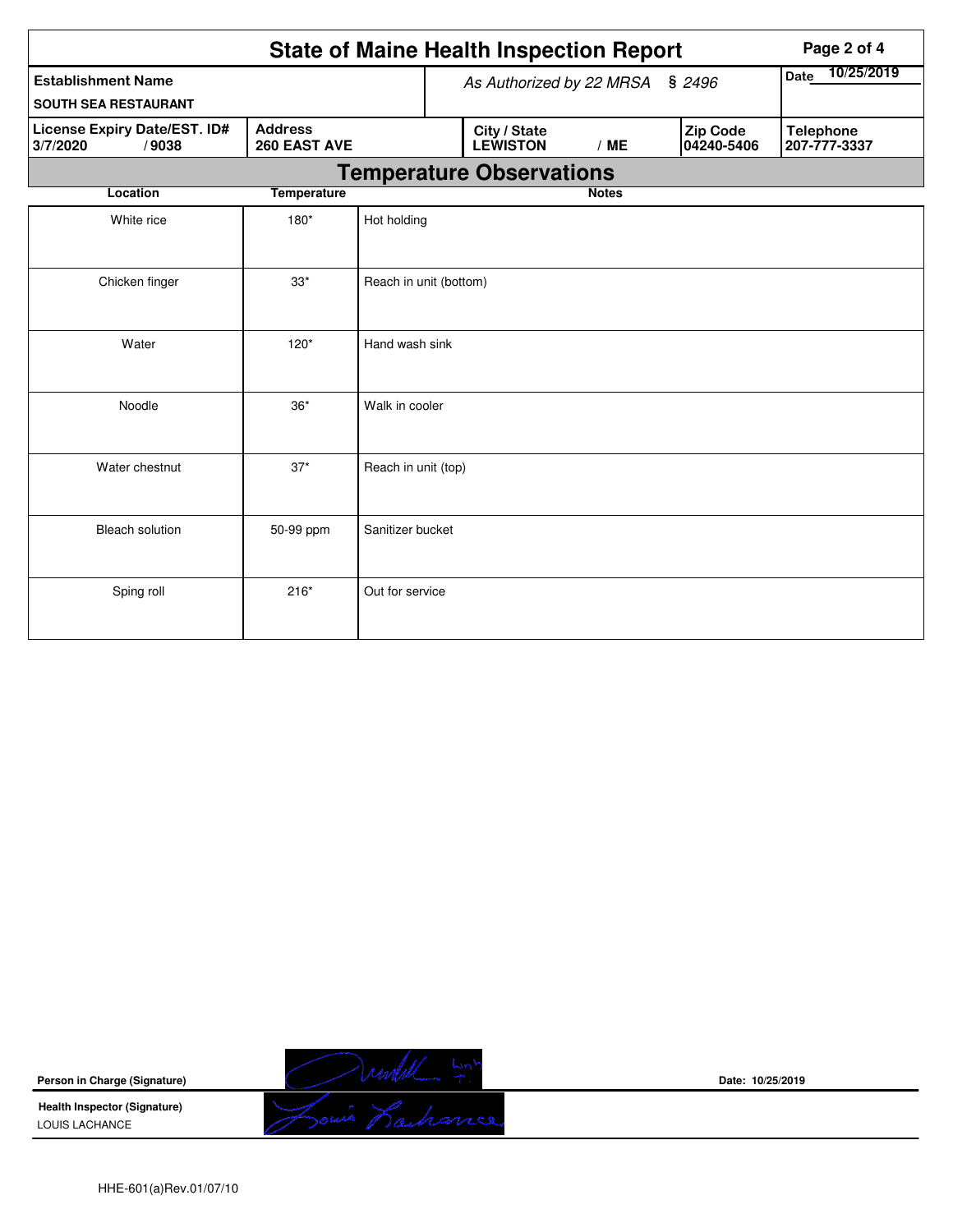|                                                                                     | <b>State of Maine Health Inspection Report</b> |                        |                                                                         | Page 2 of 4                     |              |  |                                  |
|-------------------------------------------------------------------------------------|------------------------------------------------|------------------------|-------------------------------------------------------------------------|---------------------------------|--------------|--|----------------------------------|
| <b>Establishment Name</b><br><b>SOUTH SEA RESTAURANT</b>                            |                                                |                        | As Authorized by 22 MRSA                                                | Date 10/25/2019                 |              |  |                                  |
| <b>Address</b><br>License Expiry Date/EST. ID#<br>260 EAST AVE<br>3/7/2020<br>/9038 |                                                |                        | City / State<br><b>Zip Code</b><br><b>LEWISTON</b><br>/ME<br>04240-5406 |                                 |              |  | <b>Telephone</b><br>207-777-3337 |
|                                                                                     |                                                |                        |                                                                         | <b>Temperature Observations</b> |              |  |                                  |
| Location                                                                            | <b>Temperature</b>                             |                        |                                                                         |                                 | <b>Notes</b> |  |                                  |
| White rice                                                                          | $180*$                                         | Hot holding            |                                                                         |                                 |              |  |                                  |
| Chicken finger                                                                      | $33*$                                          | Reach in unit (bottom) |                                                                         |                                 |              |  |                                  |
| Water                                                                               | $120*$                                         | Hand wash sink         |                                                                         |                                 |              |  |                                  |
| Noodle                                                                              | $36*$                                          | Walk in cooler         |                                                                         |                                 |              |  |                                  |
| Water chestnut                                                                      | $37*$                                          | Reach in unit (top)    |                                                                         |                                 |              |  |                                  |
| <b>Bleach solution</b>                                                              | 50-99 ppm                                      | Sanitizer bucket       |                                                                         |                                 |              |  |                                  |
| Sping roll                                                                          | $216*$                                         | Out for service        |                                                                         |                                 |              |  |                                  |

**Person in Charge (Signature)**

**Health Inspector (Signature)**  LOUIS LACHANCE



**Date: 10/25/2019**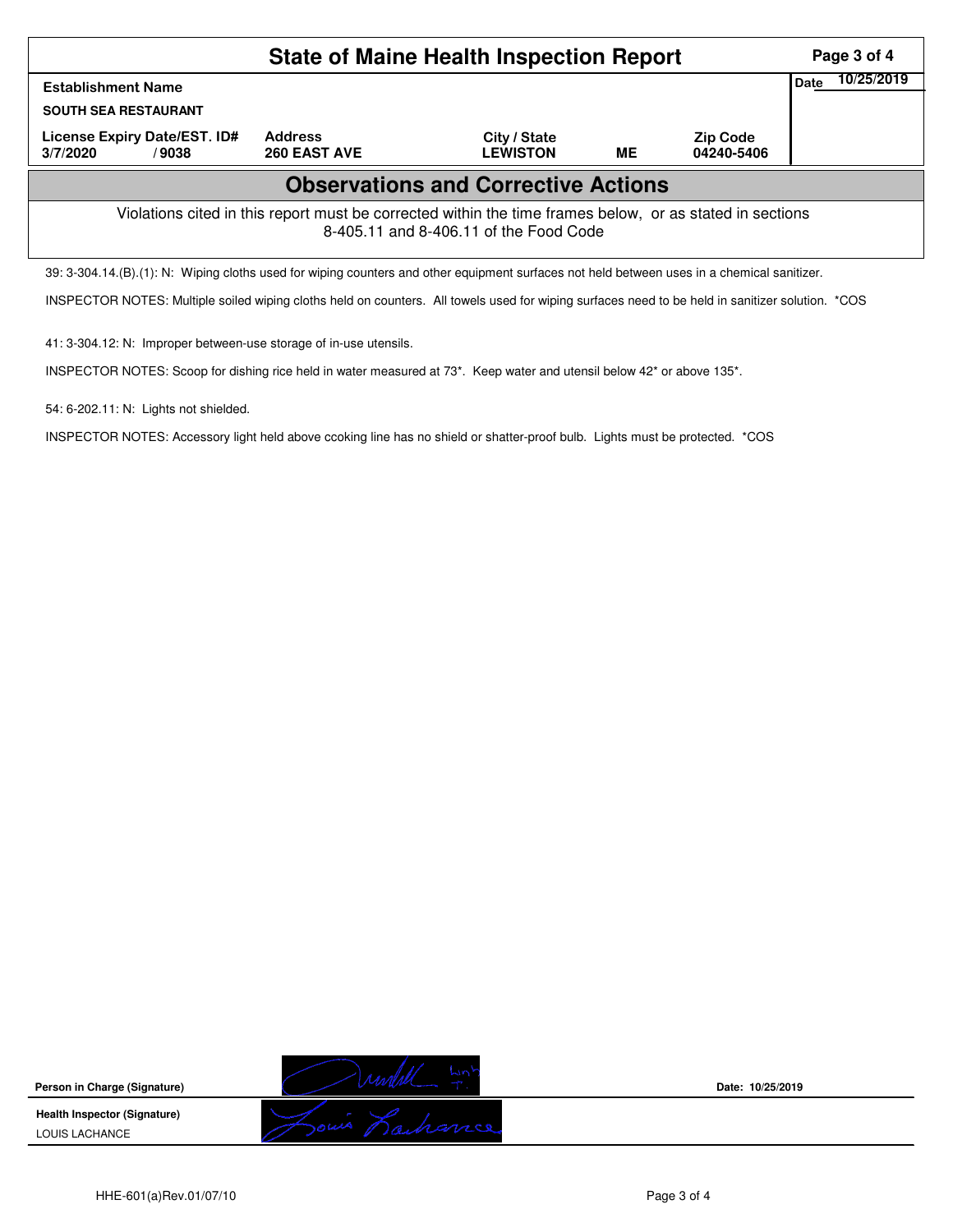| <b>State of Maine Health Inspection Report</b>                                                                                                     |                                |                                 |    |                               |      |            |  |  |
|----------------------------------------------------------------------------------------------------------------------------------------------------|--------------------------------|---------------------------------|----|-------------------------------|------|------------|--|--|
| <b>Establishment Name</b>                                                                                                                          |                                |                                 |    |                               | Date | 10/25/2019 |  |  |
| <b>SOUTH SEA RESTAURANT</b>                                                                                                                        |                                |                                 |    |                               |      |            |  |  |
| License Expiry Date/EST. ID#<br>3/7/2020<br>/9038                                                                                                  | <b>Address</b><br>260 EAST AVE | City / State<br><b>LEWISTON</b> | ME | <b>Zip Code</b><br>04240-5406 |      |            |  |  |
| <b>Observations and Corrective Actions</b>                                                                                                         |                                |                                 |    |                               |      |            |  |  |
| Violations cited in this report must be corrected within the time frames below, or as stated in sections<br>8-405.11 and 8-406.11 of the Food Code |                                |                                 |    |                               |      |            |  |  |
| 39: 3-304.14.(B).(1): N: Wiping cloths used for wiping counters and other equipment surfaces not held between uses in a chemical sanitizer.        |                                |                                 |    |                               |      |            |  |  |

INSPECTOR NOTES: Multiple soiled wiping cloths held on counters. All towels used for wiping surfaces need to be held in sanitizer solution. \*COS

41: 3-304.12: N: Improper between-use storage of in-use utensils.

INSPECTOR NOTES: Scoop for dishing rice held in water measured at 73\*. Keep water and utensil below 42\* or above 135\*.

54: 6-202.11: N: Lights not shielded.

INSPECTOR NOTES: Accessory light held above ccoking line has no shield or shatter-proof bulb. Lights must be protected. \*COS

**Person in Charge (Signature)**

**Health Inspector (Signature)**  LOUIS LACHANCE



**Date: 10/25/2019**